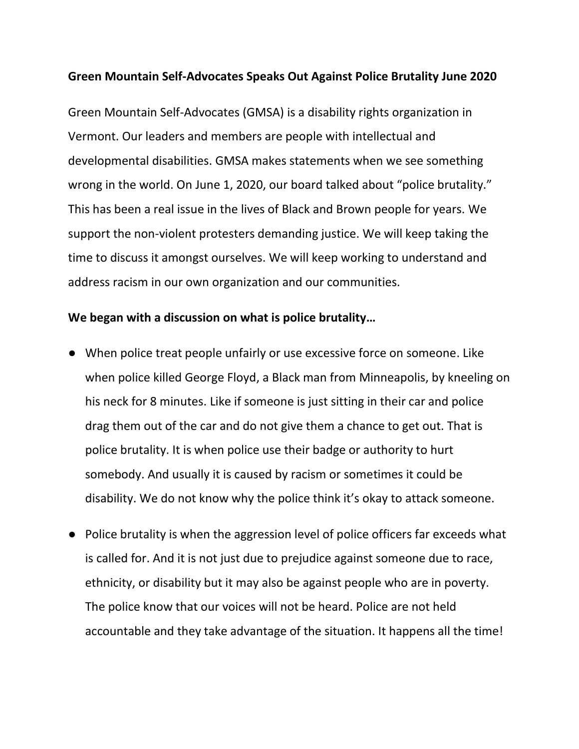## **Green Mountain Self-Advocates Speaks Out Against Police Brutality June 2020**

Green Mountain Self-Advocates (GMSA) is a disability rights organization in Vermont. Our leaders and members are people with intellectual and developmental disabilities. GMSA makes statements when we see something wrong in the world. On June 1, 2020, our board talked about "police brutality." This has been a real issue in the lives of Black and Brown people for years. We support the non-violent protesters demanding justice. We will keep taking the time to discuss it amongst ourselves. We will keep working to understand and address racism in our own organization and our communities.

## **We began with a discussion on what is police brutality…**

- When police treat people unfairly or use excessive force on someone. Like when police killed George Floyd, a Black man from Minneapolis, by kneeling on his neck for 8 minutes. Like if someone is just sitting in their car and police drag them out of the car and do not give them a chance to get out. That is police brutality. It is when police use their badge or authority to hurt somebody. And usually it is caused by racism or sometimes it could be disability. We do not know why the police think it's okay to attack someone.
- Police brutality is when the aggression level of police officers far exceeds what is called for. And it is not just due to prejudice against someone due to race, ethnicity, or disability but it may also be against people who are in poverty. The police know that our voices will not be heard. Police are not held accountable and they take advantage of the situation. It happens all the time!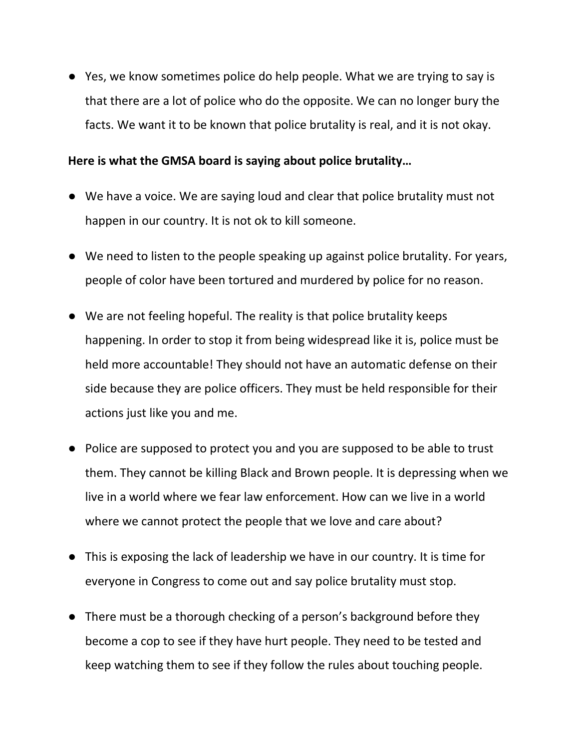● Yes, we know sometimes police do help people. What we are trying to say is that there are a lot of police who do the opposite. We can no longer bury the facts. We want it to be known that police brutality is real, and it is not okay.

## **Here is what the GMSA board is saying about police brutality…**

- We have a voice. We are saying loud and clear that police brutality must not happen in our country. It is not ok to kill someone.
- We need to listen to the people speaking up against police brutality. For years, people of color have been tortured and murdered by police for no reason.
- We are not feeling hopeful. The reality is that police brutality keeps happening. In order to stop it from being widespread like it is, police must be held more accountable! They should not have an automatic defense on their side because they are police officers. They must be held responsible for their actions just like you and me.
- Police are supposed to protect you and you are supposed to be able to trust them. They cannot be killing Black and Brown people. It is depressing when we live in a world where we fear law enforcement. How can we live in a world where we cannot protect the people that we love and care about?
- This is exposing the lack of leadership we have in our country. It is time for everyone in Congress to come out and say police brutality must stop.
- There must be a thorough checking of a person's background before they become a cop to see if they have hurt people. They need to be tested and keep watching them to see if they follow the rules about touching people.